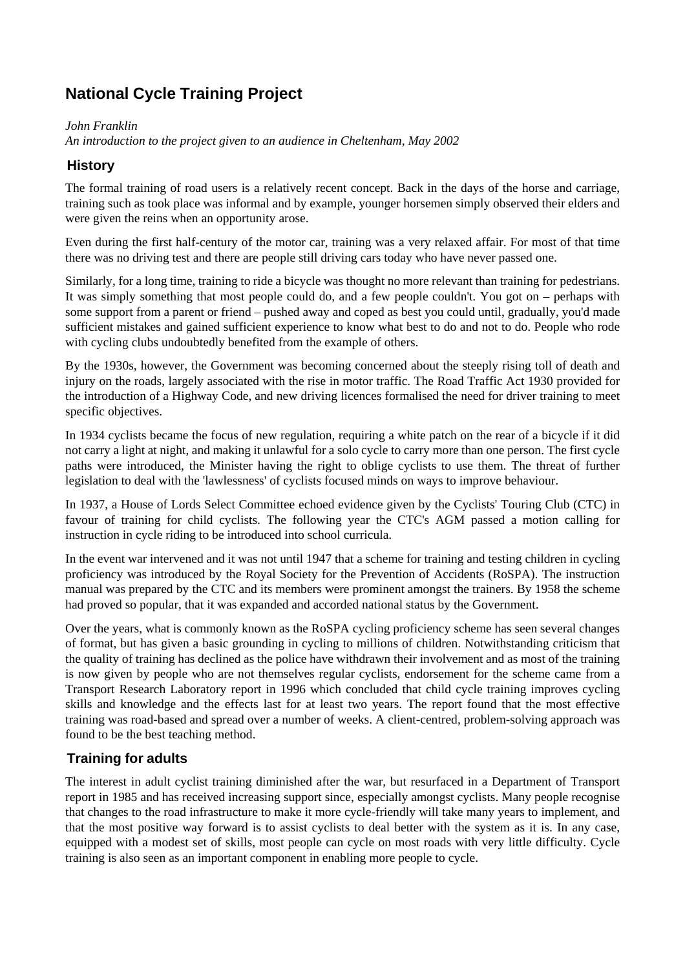# **National Cycle Training Project**

*John Franklin*

*An introduction to the project given to an audience in Cheltenham, May 2002*

## **History**

The formal training of road users is a relatively recent concept. Back in the days of the horse and carriage, training such as took place was informal and by example, younger horsemen simply observed their elders and were given the reins when an opportunity arose.

Even during the first half-century of the motor car, training was a very relaxed affair. For most of that time there was no driving test and there are people still driving cars today who have never passed one.

Similarly, for a long time, training to ride a bicycle was thought no more relevant than training for pedestrians. It was simply something that most people could do, and a few people couldn't. You got on – perhaps with some support from a parent or friend – pushed away and coped as best you could until, gradually, you'd made sufficient mistakes and gained sufficient experience to know what best to do and not to do. People who rode with cycling clubs undoubtedly benefited from the example of others.

By the 1930s, however, the Government was becoming concerned about the steeply rising toll of death and injury on the roads, largely associated with the rise in motor traffic. The Road Traffic Act 1930 provided for the introduction of a Highway Code, and new driving licences formalised the need for driver training to meet specific objectives.

In 1934 cyclists became the focus of new regulation, requiring a white patch on the rear of a bicycle if it did not carry a light at night, and making it unlawful for a solo cycle to carry more than one person. The first cycle paths were introduced, the Minister having the right to oblige cyclists to use them. The threat of further legislation to deal with the 'lawlessness' of cyclists focused minds on ways to improve behaviour.

In 1937, a House of Lords Select Committee echoed evidence given by the Cyclists' Touring Club (CTC) in favour of training for child cyclists. The following year the CTC's AGM passed a motion calling for instruction in cycle riding to be introduced into school curricula.

In the event war intervened and it was not until 1947 that a scheme for training and testing children in cycling proficiency was introduced by the Royal Society for the Prevention of Accidents (RoSPA). The instruction manual was prepared by the CTC and its members were prominent amongst the trainers. By 1958 the scheme had proved so popular, that it was expanded and accorded national status by the Government.

Over the years, what is commonly known as the RoSPA cycling proficiency scheme has seen several changes of format, but has given a basic grounding in cycling to millions of children. Notwithstanding criticism that the quality of training has declined as the police have withdrawn their involvement and as most of the training is now given by people who are not themselves regular cyclists, endorsement for the scheme came from a Transport Research Laboratory report in 1996 which concluded that child cycle training improves cycling skills and knowledge and the effects last for at least two years. The report found that the most effective training was road-based and spread over a number of weeks. A client-centred, problem-solving approach was found to be the best teaching method.

## **Training for adults**

The interest in adult cyclist training diminished after the war, but resurfaced in a Department of Transport report in 1985 and has received increasing support since, especially amongst cyclists. Many people recognise that changes to the road infrastructure to make it more cycle-friendly will take many years to implement, and that the most positive way forward is to assist cyclists to deal better with the system as it is. In any case, equipped with a modest set of skills, most people can cycle on most roads with very little difficulty. Cycle training is also seen as an important component in enabling more people to cycle.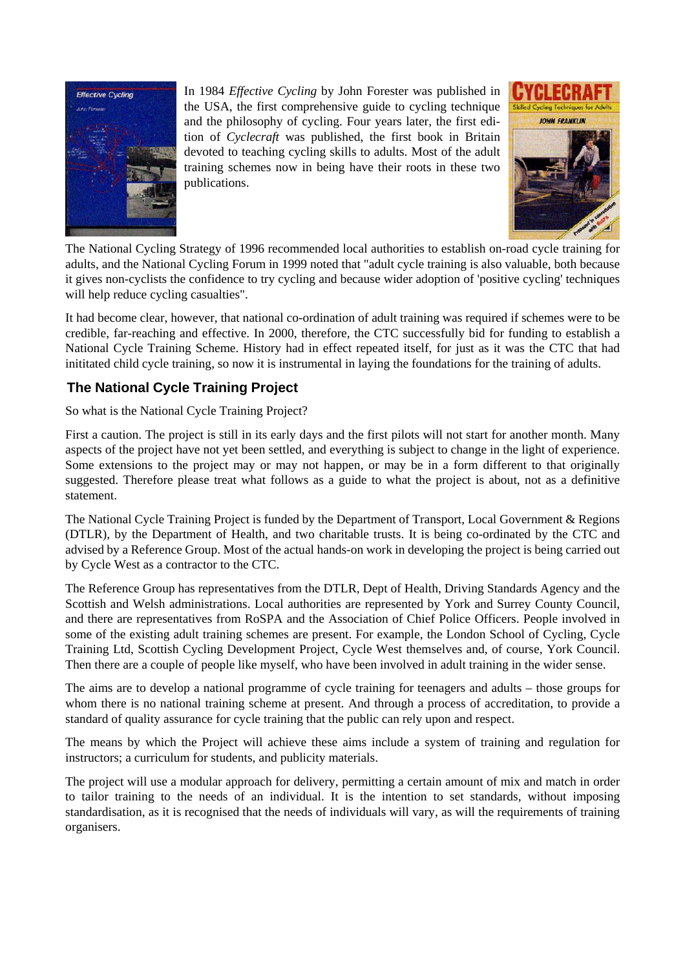

In 1984 *Effective Cycling* by John Forester was published in the USA, the first comprehensive guide to cycling technique and the philosophy of cycling. Four years later, the first edition of *Cyclecraft* was published, the first book in Britain devoted to teaching cycling skills to adults. Most of the adult training schemes now in being have their roots in these two publications.



The National Cycling Strategy of 1996 recommended local authorities to establish on-road cycle training for adults, and the National Cycling Forum in 1999 noted that "adult cycle training is also valuable, both because it gives non-cyclists the confidence to try cycling and because wider adoption of 'positive cycling' techniques will help reduce cycling casualties".

It had become clear, however, that national co-ordination of adult training was required if schemes were to be credible, far-reaching and effective. In 2000, therefore, the CTC successfully bid for funding to establish a National Cycle Training Scheme. History had in effect repeated itself, for just as it was the CTC that had inititated child cycle training, so now it is instrumental in laying the foundations for the training of adults.

# **The National Cycle Training Project**

So what is the National Cycle Training Project?

First a caution. The project is still in its early days and the first pilots will not start for another month. Many aspects of the project have not yet been settled, and everything is subject to change in the light of experience. Some extensions to the project may or may not happen, or may be in a form different to that originally suggested. Therefore please treat what follows as a guide to what the project is about, not as a definitive statement.

The National Cycle Training Project is funded by the Department of Transport, Local Government & Regions (DTLR), by the Department of Health, and two charitable trusts. It is being co-ordinated by the CTC and advised by a Reference Group. Most of the actual hands-on work in developing the project is being carried out by Cycle West as a contractor to the CTC.

The Reference Group has representatives from the DTLR, Dept of Health, Driving Standards Agency and the Scottish and Welsh administrations. Local authorities are represented by York and Surrey County Council, and there are representatives from RoSPA and the Association of Chief Police Officers. People involved in some of the existing adult training schemes are present. For example, the London School of Cycling, Cycle Training Ltd, Scottish Cycling Development Project, Cycle West themselves and, of course, York Council. Then there are a couple of people like myself, who have been involved in adult training in the wider sense.

The aims are to develop a national programme of cycle training for teenagers and adults – those groups for whom there is no national training scheme at present. And through a process of accreditation, to provide a standard of quality assurance for cycle training that the public can rely upon and respect.

The means by which the Project will achieve these aims include a system of training and regulation for instructors; a curriculum for students, and publicity materials.

The project will use a modular approach for delivery, permitting a certain amount of mix and match in order to tailor training to the needs of an individual. It is the intention to set standards, without imposing standardisation, as it is recognised that the needs of individuals will vary, as will the requirements of training organisers.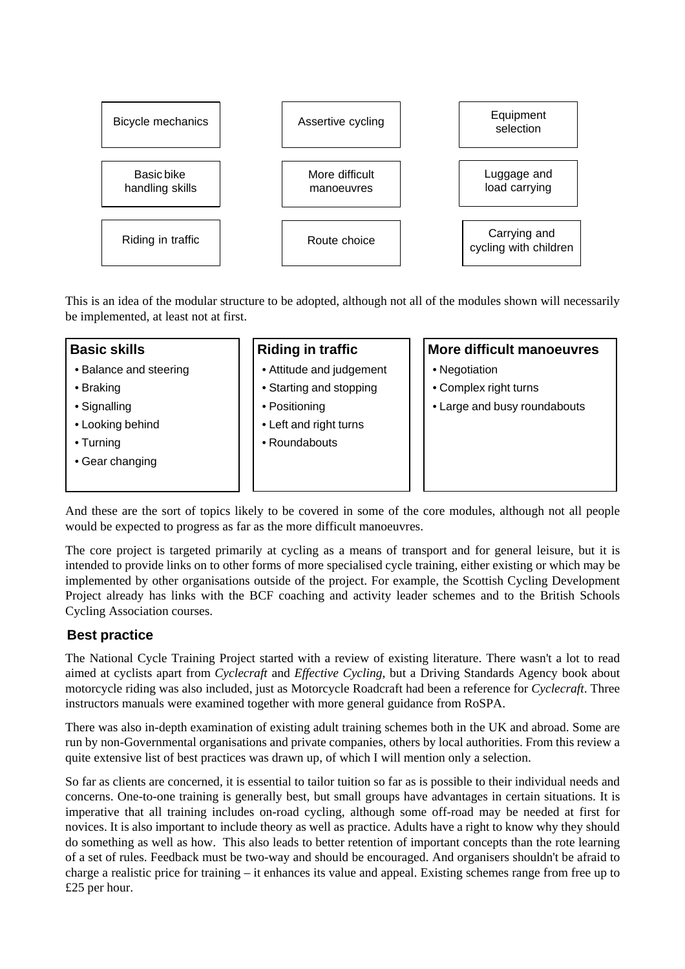

This is an idea of the modular structure to be adopted, although not all of the modules shown will necessarily be implemented, at least not at first.

#### **Basic skills**

- Balance and steering
- Braking
- Signalling
- Looking behind
- Turning
- Gear changing

#### **Riding in traffic**

- Attitude and judgement
- Starting and stopping
- Positioning
- Left and right turns
- Roundabouts

#### **More difficult manoeuvres**

- Negotiation
- Complex right turns
- Large and busy roundabouts

And these are the sort of topics likely to be covered in some of the core modules, although not all people would be expected to progress as far as the more difficult manoeuvres.

The core project is targeted primarily at cycling as a means of transport and for general leisure, but it is intended to provide links on to other forms of more specialised cycle training, either existing or which may be implemented by other organisations outside of the project. For example, the Scottish Cycling Development Project already has links with the BCF coaching and activity leader schemes and to the British Schools Cycling Association courses.

#### **Best practice**

The National Cycle Training Project started with a review of existing literature. There wasn't a lot to read aimed at cyclists apart from *Cyclecraft* and *Effective Cycling*, but a Driving Standards Agency book about motorcycle riding was also included, just as Motorcycle Roadcraft had been a reference for *Cyclecraft*. Three instructors manuals were examined together with more general guidance from RoSPA.

There was also in-depth examination of existing adult training schemes both in the UK and abroad. Some are run by non-Governmental organisations and private companies, others by local authorities. From this review a quite extensive list of best practices was drawn up, of which I will mention only a selection.

So far as clients are concerned, it is essential to tailor tuition so far as is possible to their individual needs and concerns. One-to-one training is generally best, but small groups have advantages in certain situations. It is imperative that all training includes on-road cycling, although some off-road may be needed at first for novices. It is also important to include theory as well as practice. Adults have a right to know why they should do something as well as how. This also leads to better retention of important concepts than the rote learning of a set of rules. Feedback must be two-way and should be encouraged. And organisers shouldn't be afraid to charge a realistic price for training – it enhances its value and appeal. Existing schemes range from free up to £25 per hour.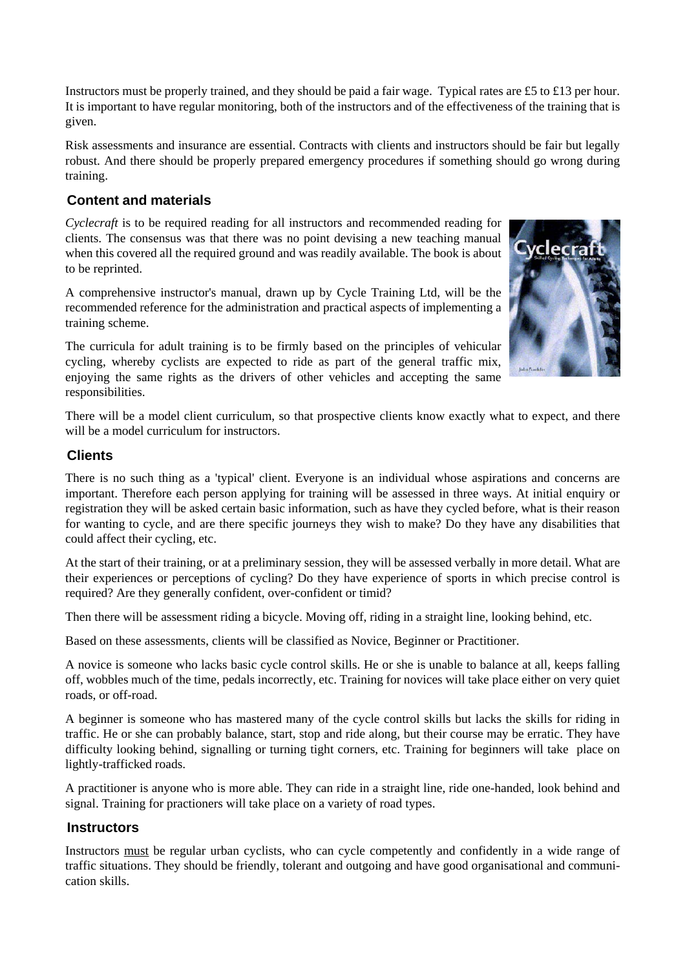Instructors must be properly trained, and they should be paid a fair wage. Typical rates are £5 to £13 per hour. It is important to have regular monitoring, both of the instructors and of the effectiveness of the training that is given.

Risk assessments and insurance are essential. Contracts with clients and instructors should be fair but legally robust. And there should be properly prepared emergency procedures if something should go wrong during training.

#### **Content and materials**

*Cyclecraft* is to be required reading for all instructors and recommended reading for clients. The consensus was that there was no point devising a new teaching manual when this covered all the required ground and was readily available. The book is about to be reprinted.

A comprehensive instructor's manual, drawn up by Cycle Training Ltd, will be the recommended reference for the administration and practical aspects of implementing a training scheme.

The curricula for adult training is to be firmly based on the principles of vehicular cycling, whereby cyclists are expected to ride as part of the general traffic mix, enjoying the same rights as the drivers of other vehicles and accepting the same responsibilities.



There will be a model client curriculum, so that prospective clients know exactly what to expect, and there will be a model curriculum for instructors.

#### **Clients**

There is no such thing as a 'typical' client. Everyone is an individual whose aspirations and concerns are important. Therefore each person applying for training will be assessed in three ways. At initial enquiry or registration they will be asked certain basic information, such as have they cycled before, what is their reason for wanting to cycle, and are there specific journeys they wish to make? Do they have any disabilities that could affect their cycling, etc.

At the start of their training, or at a preliminary session, they will be assessed verbally in more detail. What are their experiences or perceptions of cycling? Do they have experience of sports in which precise control is required? Are they generally confident, over-confident or timid?

Then there will be assessment riding a bicycle. Moving off, riding in a straight line, looking behind, etc.

Based on these assessments, clients will be classified as Novice, Beginner or Practitioner.

A novice is someone who lacks basic cycle control skills. He or she is unable to balance at all, keeps falling off, wobbles much of the time, pedals incorrectly, etc. Training for novices will take place either on very quiet roads, or off-road.

A beginner is someone who has mastered many of the cycle control skills but lacks the skills for riding in traffic. He or she can probably balance, start, stop and ride along, but their course may be erratic. They have difficulty looking behind, signalling or turning tight corners, etc. Training for beginners will take place on lightly-trafficked roads.

A practitioner is anyone who is more able. They can ride in a straight line, ride one-handed, look behind and signal. Training for practioners will take place on a variety of road types.

#### **Instructors**

Instructors must be regular urban cyclists, who can cycle competently and confidently in a wide range of traffic situations. They should be friendly, tolerant and outgoing and have good organisational and communication skills.